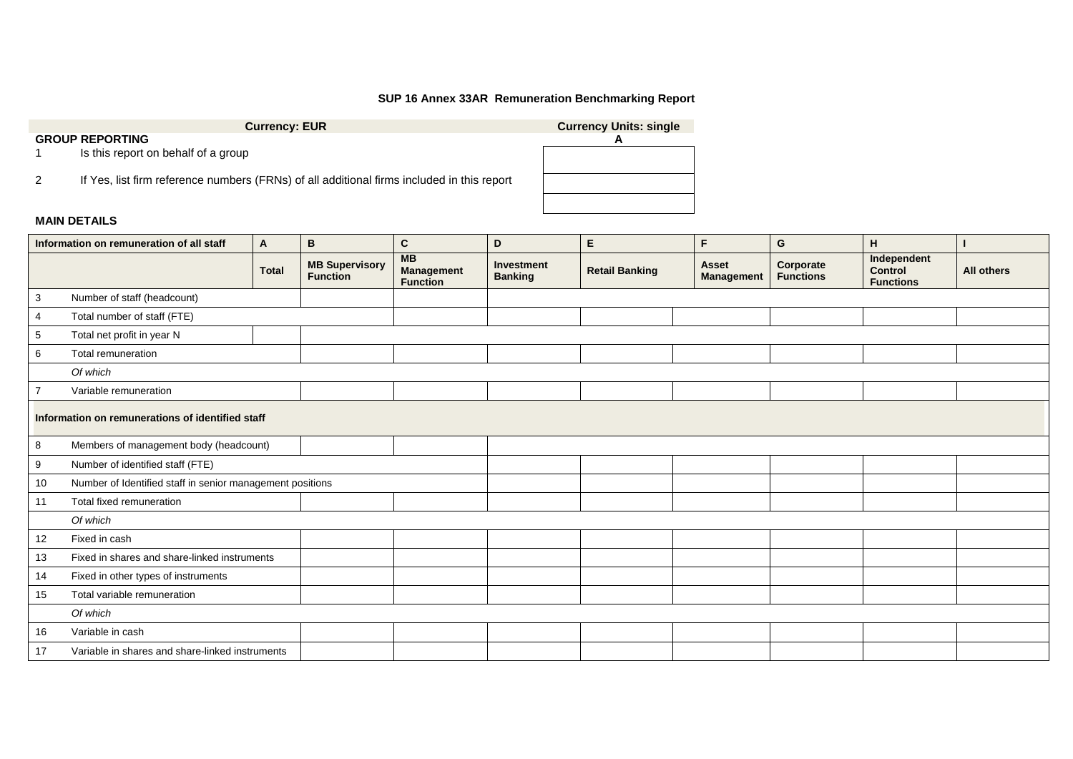## **SUP 16 Annex 33AR Remuneration Benchmarking Report**

| <b>Currency: EUR</b>                                                                       | <b>Currency Units: single</b> |
|--------------------------------------------------------------------------------------------|-------------------------------|
| <b>GROUP REPORTING</b>                                                                     |                               |
| Is this report on behalf of a group                                                        |                               |
| If Yes, list firm reference numbers (FRNs) of all additional firms included in this report |                               |
|                                                                                            |                               |

## **MAIN DETAILS**

|                                                  | Information on remuneration of all staff                  | A            | В                                        | $\mathbf{C}$                               | D                            | $\mathsf E$           | F                                 | G                             | H                                                 |                   |
|--------------------------------------------------|-----------------------------------------------------------|--------------|------------------------------------------|--------------------------------------------|------------------------------|-----------------------|-----------------------------------|-------------------------------|---------------------------------------------------|-------------------|
|                                                  |                                                           | <b>Total</b> | <b>MB Supervisory</b><br><b>Function</b> | MB<br><b>Management</b><br><b>Function</b> | Investment<br><b>Banking</b> | <b>Retail Banking</b> | <b>Asset</b><br><b>Management</b> | Corporate<br><b>Functions</b> | Independent<br><b>Control</b><br><b>Functions</b> | <b>All others</b> |
| 3                                                | Number of staff (headcount)                               |              |                                          |                                            |                              |                       |                                   |                               |                                                   |                   |
| 4                                                | Total number of staff (FTE)                               |              |                                          |                                            |                              |                       |                                   |                               |                                                   |                   |
| 5                                                | Total net profit in year N                                |              |                                          |                                            |                              |                       |                                   |                               |                                                   |                   |
| 6                                                | Total remuneration                                        |              |                                          |                                            |                              |                       |                                   |                               |                                                   |                   |
|                                                  | Of which                                                  |              |                                          |                                            |                              |                       |                                   |                               |                                                   |                   |
|                                                  | Variable remuneration                                     |              |                                          |                                            |                              |                       |                                   |                               |                                                   |                   |
| Information on remunerations of identified staff |                                                           |              |                                          |                                            |                              |                       |                                   |                               |                                                   |                   |
| 8                                                | Members of management body (headcount)                    |              |                                          |                                            |                              |                       |                                   |                               |                                                   |                   |
| 9                                                | Number of identified staff (FTE)                          |              |                                          |                                            |                              |                       |                                   |                               |                                                   |                   |
| 10                                               | Number of Identified staff in senior management positions |              |                                          |                                            |                              |                       |                                   |                               |                                                   |                   |
| 11                                               | Total fixed remuneration                                  |              |                                          |                                            |                              |                       |                                   |                               |                                                   |                   |
|                                                  | Of which                                                  |              |                                          |                                            |                              |                       |                                   |                               |                                                   |                   |
| 12                                               | Fixed in cash                                             |              |                                          |                                            |                              |                       |                                   |                               |                                                   |                   |
| 13                                               | Fixed in shares and share-linked instruments              |              |                                          |                                            |                              |                       |                                   |                               |                                                   |                   |
| 14                                               | Fixed in other types of instruments                       |              |                                          |                                            |                              |                       |                                   |                               |                                                   |                   |
| 15                                               | Total variable remuneration                               |              |                                          |                                            |                              |                       |                                   |                               |                                                   |                   |
|                                                  | Of which                                                  |              |                                          |                                            |                              |                       |                                   |                               |                                                   |                   |
| 16                                               | Variable in cash                                          |              |                                          |                                            |                              |                       |                                   |                               |                                                   |                   |
| 17                                               | Variable in shares and share-linked instruments           |              |                                          |                                            |                              |                       |                                   |                               |                                                   |                   |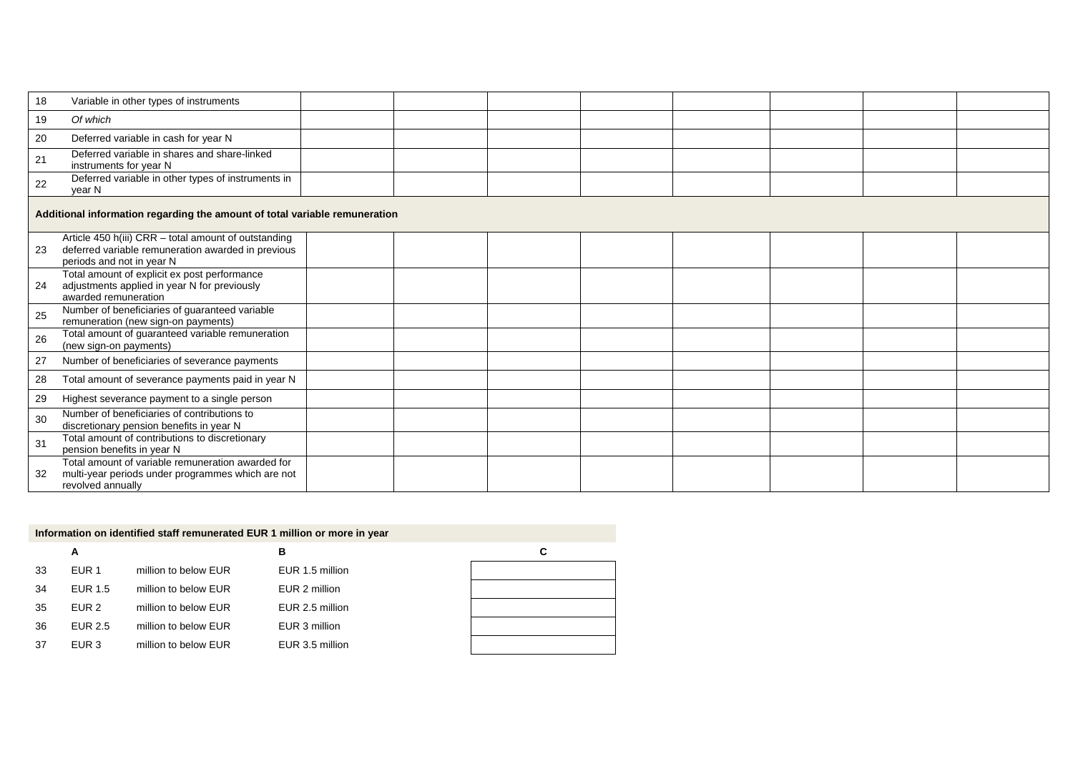| 18 | Variable in other types of instruments                                                                                                  |  |  |  |  |  |  |  |  |
|----|-----------------------------------------------------------------------------------------------------------------------------------------|--|--|--|--|--|--|--|--|
| 19 | Of which                                                                                                                                |  |  |  |  |  |  |  |  |
| 20 | Deferred variable in cash for year N                                                                                                    |  |  |  |  |  |  |  |  |
| 21 | Deferred variable in shares and share-linked<br>instruments for year N                                                                  |  |  |  |  |  |  |  |  |
| 22 | Deferred variable in other types of instruments in<br>year N                                                                            |  |  |  |  |  |  |  |  |
|    | Additional information regarding the amount of total variable remuneration                                                              |  |  |  |  |  |  |  |  |
| 23 | Article 450 h(iii) CRR - total amount of outstanding<br>deferred variable remuneration awarded in previous<br>periods and not in year N |  |  |  |  |  |  |  |  |
| 24 | Total amount of explicit ex post performance<br>adjustments applied in year N for previously<br>awarded remuneration                    |  |  |  |  |  |  |  |  |
| 25 | Number of beneficiaries of guaranteed variable<br>remuneration (new sign-on payments)                                                   |  |  |  |  |  |  |  |  |
| 26 | Total amount of guaranteed variable remuneration<br>(new sign-on payments)                                                              |  |  |  |  |  |  |  |  |
| 27 | Number of beneficiaries of severance payments                                                                                           |  |  |  |  |  |  |  |  |
| 28 | Total amount of severance payments paid in year N                                                                                       |  |  |  |  |  |  |  |  |
| 29 | Highest severance payment to a single person                                                                                            |  |  |  |  |  |  |  |  |
| 30 | Number of beneficiaries of contributions to<br>discretionary pension benefits in year N                                                 |  |  |  |  |  |  |  |  |
| 31 | Total amount of contributions to discretionary<br>pension benefits in year N                                                            |  |  |  |  |  |  |  |  |
| 32 | Total amount of variable remuneration awarded for<br>multi-year periods under programmes which are not<br>revolved annually             |  |  |  |  |  |  |  |  |

| Information on identified staff remunerated EUR 1 million or more in year |                  |                      |                 |   |  |  |
|---------------------------------------------------------------------------|------------------|----------------------|-----------------|---|--|--|
|                                                                           | А                |                      | в               | C |  |  |
| 33                                                                        | EUR <sub>1</sub> | million to below EUR | EUR 1.5 million |   |  |  |
| 34                                                                        | EUR 1.5          | million to below EUR | EUR 2 million   |   |  |  |
| 35                                                                        | EUR <sub>2</sub> | million to below EUR | EUR 2.5 million |   |  |  |
| 36                                                                        | EUR 2.5          | million to below EUR | EUR 3 million   |   |  |  |
| 37                                                                        | EUR 3            | million to below EUR | EUR 3.5 million |   |  |  |